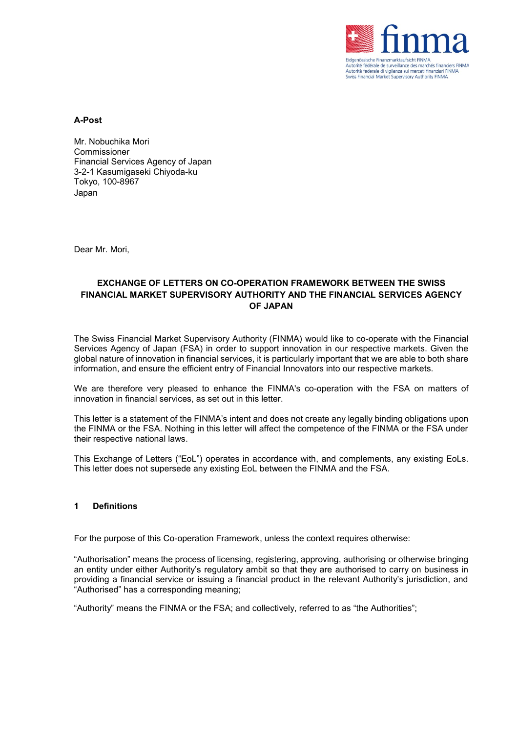

**A-Post**

Mr. Nobuchika Mori Commissioner Financial Services Agency of Japan 3-2-1 Kasumigaseki Chiyoda-ku Tokyo, 100-8967 Japan

Dear Mr. Mori,

## **EXCHANGE OF LETTERS ON CO-OPERATION FRAMEWORK BETWEEN THE SWISS FINANCIAL MARKET SUPERVISORY AUTHORITY AND THE FINANCIAL SERVICES AGENCY OF JAPAN**

The Swiss Financial Market Supervisory Authority (FINMA) would like to co-operate with the Financial Services Agency of Japan (FSA) in order to support innovation in our respective markets. Given the global nature of innovation in financial services, it is particularly important that we are able to both share information, and ensure the efficient entry of Financial Innovators into our respective markets.

We are therefore very pleased to enhance the FINMA's co-operation with the FSA on matters of innovation in financial services, as set out in this letter.

This letter is a statement of the FINMA's intent and does not create any legally binding obligations upon the FINMA or the FSA. Nothing in this letter will affect the competence of the FINMA or the FSA under their respective national laws.

This Exchange of Letters ("EoL") operates in accordance with, and complements, any existing EoLs. This letter does not supersede any existing EoL between the FINMA and the FSA.

#### **1 Definitions**

For the purpose of this Co-operation Framework, unless the context requires otherwise:

"Authorisation" means the process of licensing, registering, approving, authorising or otherwise bringing an entity under either Authority's regulatory ambit so that they are authorised to carry on business in providing a financial service or issuing a financial product in the relevant Authority's jurisdiction, and "Authorised" has a corresponding meaning;

"Authority" means the FINMA or the FSA; and collectively, referred to as "the Authorities";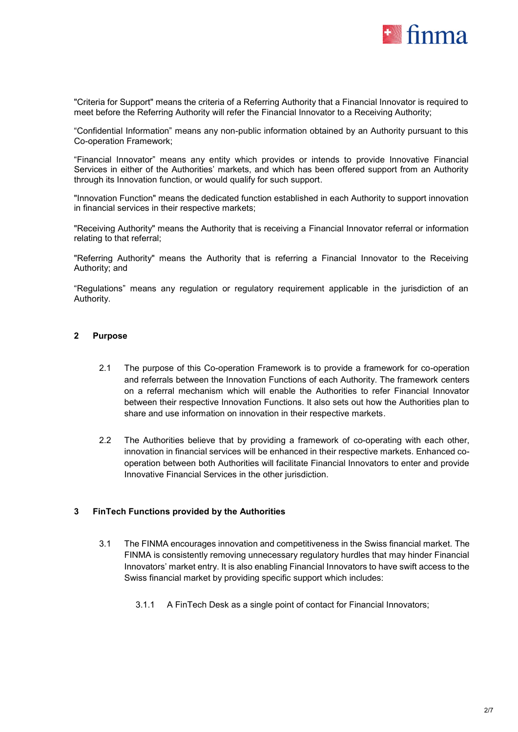

"Criteria for Support" means the criteria of a Referring Authority that a Financial Innovator is required to meet before the Referring Authority will refer the Financial Innovator to a Receiving Authority;

"Confidential Information" means any non-public information obtained by an Authority pursuant to this Co-operation Framework;

"Financial Innovator" means any entity which provides or intends to provide Innovative Financial Services in either of the Authorities' markets, and which has been offered support from an Authority through its Innovation function, or would qualify for such support.

"Innovation Function" means the dedicated function established in each Authority to support innovation in financial services in their respective markets;

"Receiving Authority" means the Authority that is receiving a Financial Innovator referral or information relating to that referral;

"Referring Authority" means the Authority that is referring a Financial Innovator to the Receiving Authority; and

"Regulations" means any regulation or regulatory requirement applicable in the jurisdiction of an Authority.

# **2 Purpose**

- 2.1 The purpose of this Co-operation Framework is to provide a framework for co-operation and referrals between the Innovation Functions of each Authority. The framework centers on a referral mechanism which will enable the Authorities to refer Financial Innovator between their respective Innovation Functions. It also sets out how the Authorities plan to share and use information on innovation in their respective markets.
- 2.2 The Authorities believe that by providing a framework of co-operating with each other, innovation in financial services will be enhanced in their respective markets. Enhanced cooperation between both Authorities will facilitate Financial Innovators to enter and provide Innovative Financial Services in the other jurisdiction.

## **3 FinTech Functions provided by the Authorities**

- 3.1 The FINMA encourages innovation and competitiveness in the Swiss financial market. The FINMA is consistently removing unnecessary regulatory hurdles that may hinder Financial Innovators' market entry. It is also enabling Financial Innovators to have swift access to the Swiss financial market by providing specific support which includes:
	- 3.1.1 A FinTech Desk as a single point of contact for Financial Innovators;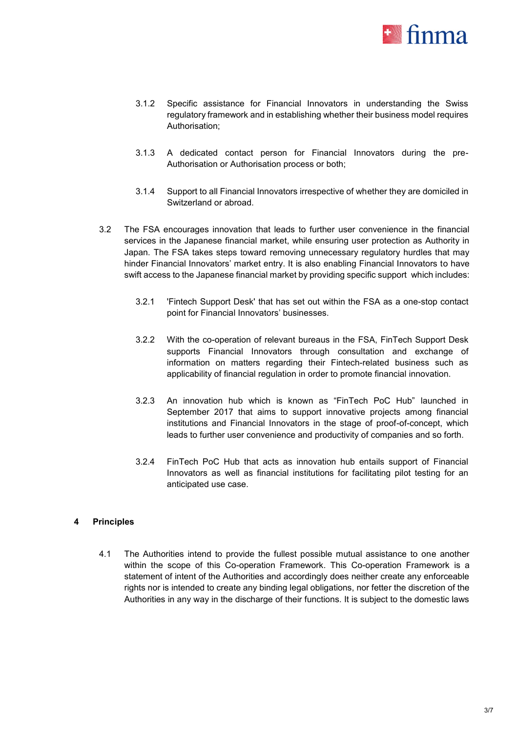

- 3.1.2 Specific assistance for Financial Innovators in understanding the Swiss regulatory framework and in establishing whether their business model requires Authorisation;
- 3.1.3 A dedicated contact person for Financial Innovators during the pre-Authorisation or Authorisation process or both;
- 3.1.4 Support to all Financial Innovators irrespective of whether they are domiciled in Switzerland or abroad.
- 3.2 The FSA encourages innovation that leads to further user convenience in the financial services in the Japanese financial market, while ensuring user protection as Authority in Japan. The FSA takes steps toward removing unnecessary regulatory hurdles that may hinder Financial Innovators' market entry. It is also enabling Financial Innovators to have swift access to the Japanese financial market by providing specific support which includes:
	- 3.2.1 'Fintech Support Desk' that has set out within the FSA as a one-stop contact point for Financial Innovators' businesses.
	- 3.2.2 With the co-operation of relevant bureaus in the FSA, FinTech Support Desk supports Financial Innovators through consultation and exchange of information on matters regarding their Fintech-related business such as applicability of financial regulation in order to promote financial innovation.
	- 3.2.3 An innovation hub which is known as "FinTech PoC Hub" launched in September 2017 that aims to support innovative projects among financial institutions and Financial Innovators in the stage of proof-of-concept, which leads to further user convenience and productivity of companies and so forth.
	- 3.2.4 FinTech PoC Hub that acts as innovation hub entails support of Financial Innovators as well as financial institutions for facilitating pilot testing for an anticipated use case.

## **4 Principles**

4.1 The Authorities intend to provide the fullest possible mutual assistance to one another within the scope of this Co-operation Framework. This Co-operation Framework is a statement of intent of the Authorities and accordingly does neither create any enforceable rights nor is intended to create any binding legal obligations, nor fetter the discretion of the Authorities in any way in the discharge of their functions. It is subject to the domestic laws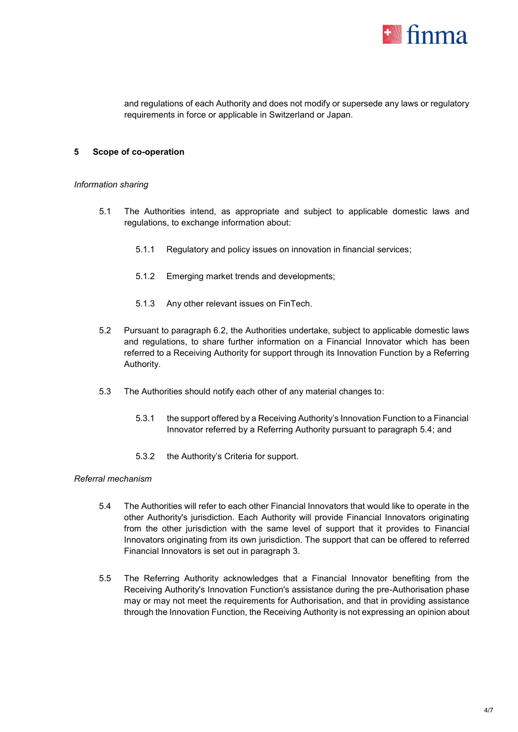

and regulations of each Authority and does not modify or supersede any laws or regulatory requirements in force or applicable in Switzerland or Japan.

### **5 Scope of co-operation**

# *Information sharing*

- 5.1 The Authorities intend, as appropriate and subject to applicable domestic laws and regulations, to exchange information about:
	- 5.1.1 Regulatory and policy issues on innovation in financial services;
	- 5.1.2 Emerging market trends and developments;
	- 5.1.3 Any other relevant issues on FinTech.
- 5.2 Pursuant to paragraph 6.2, the Authorities undertake, subject to applicable domestic laws and regulations, to share further information on a Financial Innovator which has been referred to a Receiving Authority for support through its Innovation Function by a Referring Authority.
- 5.3 The Authorities should notify each other of any material changes to:
	- 5.3.1 the support offered by a Receiving Authority's Innovation Function to a Financial Innovator referred by a Referring Authority pursuant to paragraph 5.4; and
	- 5.3.2 the Authority's Criteria for support.

#### *Referral mechanism*

- 5.4 The Authorities will refer to each other Financial Innovators that would like to operate in the other Authority's jurisdiction. Each Authority will provide Financial Innovators originating from the other jurisdiction with the same level of support that it provides to Financial Innovators originating from its own jurisdiction. The support that can be offered to referred Financial Innovators is set out in paragraph 3.
- 5.5 The Referring Authority acknowledges that a Financial Innovator benefiting from the Receiving Authority's Innovation Function's assistance during the pre-Authorisation phase may or may not meet the requirements for Authorisation, and that in providing assistance through the Innovation Function, the Receiving Authority is not expressing an opinion about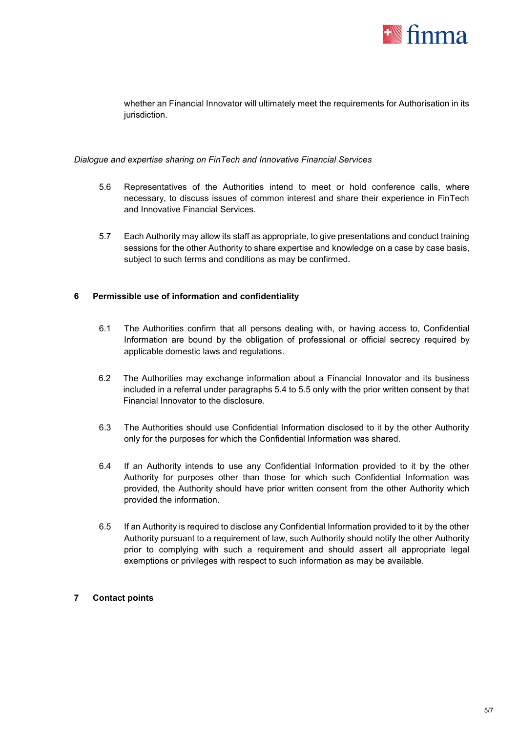

whether an Financial Innovator will ultimately meet the requirements for Authorisation in its jurisdiction.

### *Dialogue and expertise sharing on FinTech and Innovative Financial Services*

- 5.6 Representatives of the Authorities intend to meet or hold conference calls, where necessary, to discuss issues of common interest and share their experience in FinTech and Innovative Financial Services.
- 5.7 Each Authority may allow its staff as appropriate, to give presentations and conduct training sessions for the other Authority to share expertise and knowledge on a case by case basis, subject to such terms and conditions as may be confirmed.

## **6 Permissible use of information and confidentiality**

- 6.1 The Authorities confirm that all persons dealing with, or having access to, Confidential Information are bound by the obligation of professional or official secrecy required by applicable domestic laws and regulations.
- 6.2 The Authorities may exchange information about a Financial Innovator and its business included in a referral under paragraphs 5.4 to 5.5 only with the prior written consent by that Financial Innovator to the disclosure.
- 6.3 The Authorities should use Confidential Information disclosed to it by the other Authority only for the purposes for which the Confidential Information was shared.
- 6.4 If an Authority intends to use any Confidential Information provided to it by the other Authority for purposes other than those for which such Confidential Information was provided, the Authority should have prior written consent from the other Authority which provided the information.
- 6.5 If an Authority is required to disclose any Confidential Information provided to it by the other Authority pursuant to a requirement of law, such Authority should notify the other Authority prior to complying with such a requirement and should assert all appropriate legal exemptions or privileges with respect to such information as may be available.

## **7 Contact points**